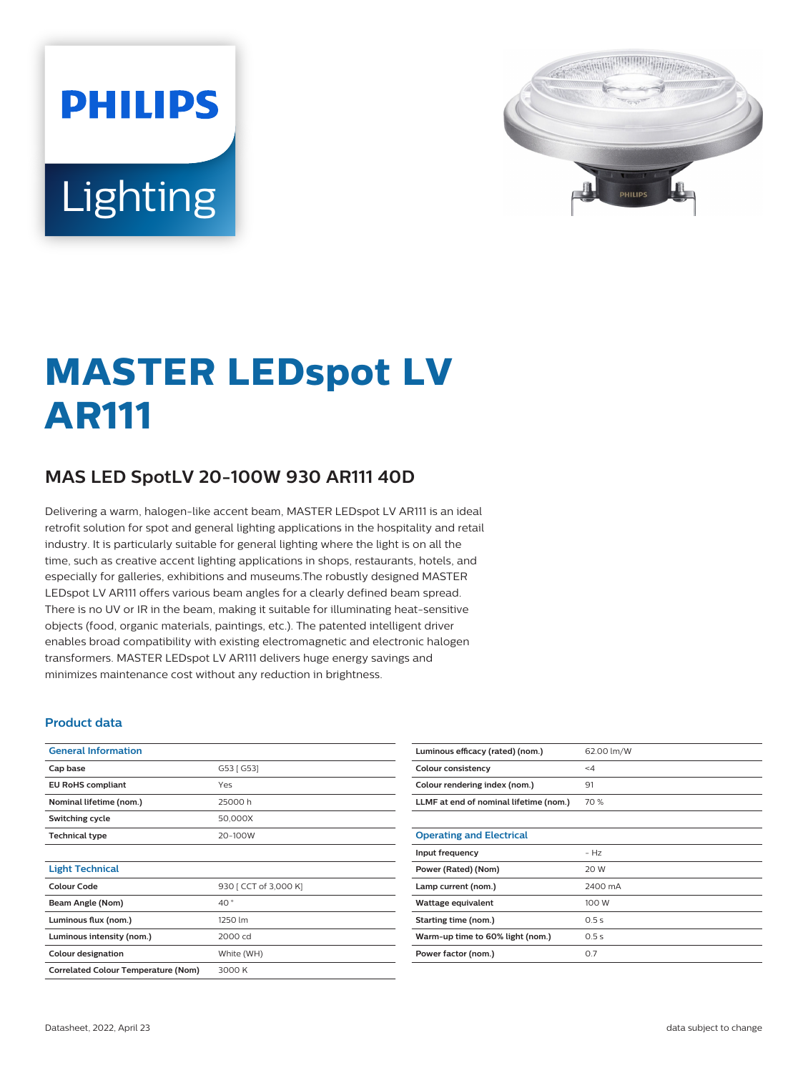# **PHILIPS** Lighting



## **MASTER LEDspot LV AR111**

### **MAS LED SpotLV 20-100W 930 AR111 40D**

Delivering a warm, halogen-like accent beam, MASTER LEDspot LV AR111 is an ideal retrofit solution for spot and general lighting applications in the hospitality and retail industry. It is particularly suitable for general lighting where the light is on all the time, such as creative accent lighting applications in shops, restaurants, hotels, and especially for galleries, exhibitions and museums.The robustly designed MASTER LEDspot LV AR111 offers various beam angles for a clearly defined beam spread. There is no UV or IR in the beam, making it suitable for illuminating heat-sensitive objects (food, organic materials, paintings, etc.). The patented intelligent driver enables broad compatibility with existing electromagnetic and electronic halogen transformers. MASTER LEDspot LV AR111 delivers huge energy savings and minimizes maintenance cost without any reduction in brightness.

#### **Product data**

| <b>General Information</b>                 |                       |  |
|--------------------------------------------|-----------------------|--|
| Cap base                                   | G53 [ G53]            |  |
|                                            |                       |  |
| <b>EU RoHS compliant</b>                   | Yes                   |  |
| Nominal lifetime (nom.)                    | 25000h                |  |
| Switching cycle                            | 50,000X               |  |
| <b>Technical type</b>                      | 20-100W               |  |
|                                            |                       |  |
| <b>Light Technical</b>                     |                       |  |
| Colour Code                                | 930 [ CCT of 3,000 K] |  |
| Beam Angle (Nom)                           | 40°                   |  |
| Luminous flux (nom.)                       | 1250 lm               |  |
| Luminous intensity (nom.)                  | 2000 cd               |  |
| <b>Colour designation</b>                  | White (WH)            |  |
| <b>Correlated Colour Temperature (Nom)</b> | 3000 K                |  |

| Luminous efficacy (rated) (nom.)       | 62.00 lm/W |
|----------------------------------------|------------|
| Colour consistency                     | $\leq 4$   |
| Colour rendering index (nom.)          | 91         |
| LLMF at end of nominal lifetime (nom.) | 70%        |
|                                        |            |
| <b>Operating and Electrical</b>        |            |
| Input frequency                        | $- Hz$     |
| Power (Rated) (Nom)                    | 20 W       |
| Lamp current (nom.)                    | 2400 mA    |
| Wattage equivalent                     | 100 W      |
| Starting time (nom.)                   | 0.5s       |
| Warm-up time to 60% light (nom.)       | 0.5s       |
| Power factor (nom.)                    | 0.7        |
|                                        |            |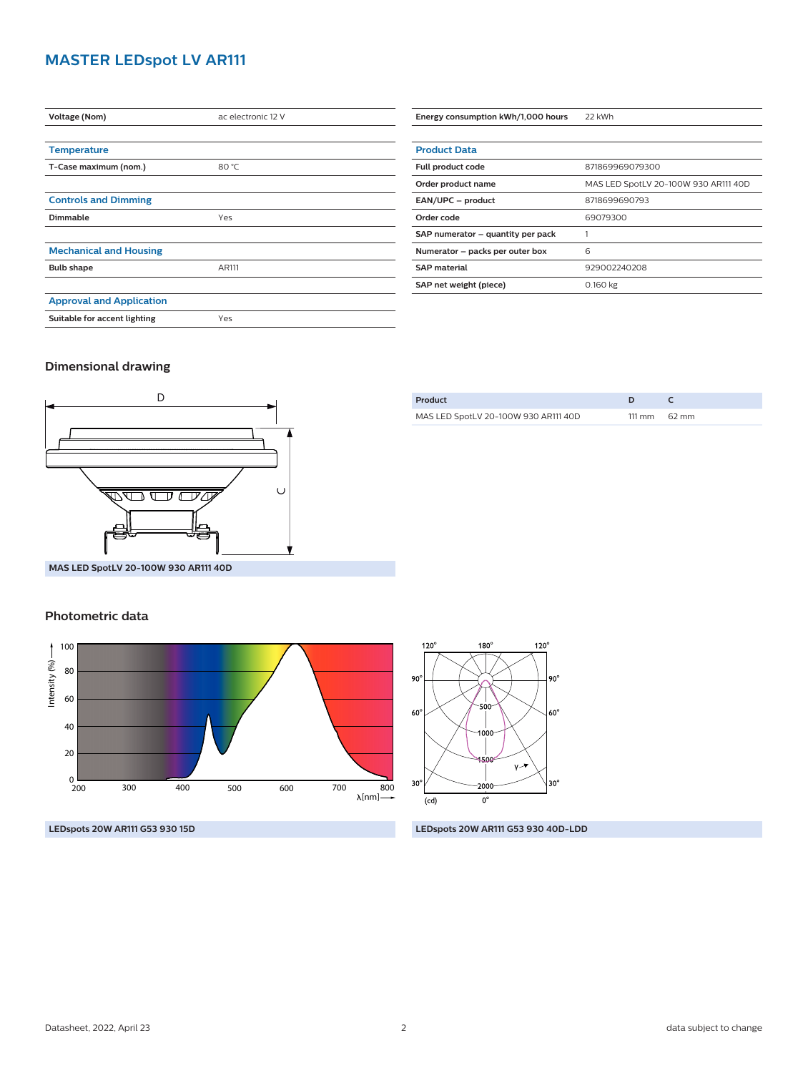#### **MASTER LEDspot LV AR111**

| Voltage (Nom)                   | ac electronic 12 V |
|---------------------------------|--------------------|
|                                 |                    |
| <b>Temperature</b>              |                    |
| T-Case maximum (nom.)           | 80 °C              |
|                                 |                    |
| <b>Controls and Dimming</b>     |                    |
| Dimmable                        | Yes                |
|                                 |                    |
| <b>Mechanical and Housing</b>   |                    |
| <b>Bulb shape</b>               | AR111              |
|                                 |                    |
| <b>Approval and Application</b> |                    |
| Suitable for accent lighting    | Yes                |

| <b>Product Data</b>               |                                      |  |
|-----------------------------------|--------------------------------------|--|
| Full product code                 | 871869969079300                      |  |
| Order product name                | MAS LED SpotLV 20-100W 930 AR111 40D |  |
| EAN/UPC - product                 | 8718699690793                        |  |
| Order code                        | 69079300                             |  |
| SAP numerator - quantity per pack |                                      |  |
| Numerator - packs per outer box   | 6                                    |  |
| <b>SAP</b> material               | 929002240208                         |  |
| SAP net weight (piece)            | 0.160 kg                             |  |

**Energy consumption kWh/1,000 hours** 22 kWh

#### **Dimensional drawing**



| MAS LED SpotLV 20-100W 930 AR111 40D | $111 \text{ mm}$ 62 mm |
|--------------------------------------|------------------------|
|                                      |                        |

**Product D C**

**MAS LED SpotLV 20-100W 930 AR111 40D**

#### **Photometric data**





**LEDspots 20W AR111 G53 930 15D LEDspots 20W AR111 G53 930 40D-LDD**